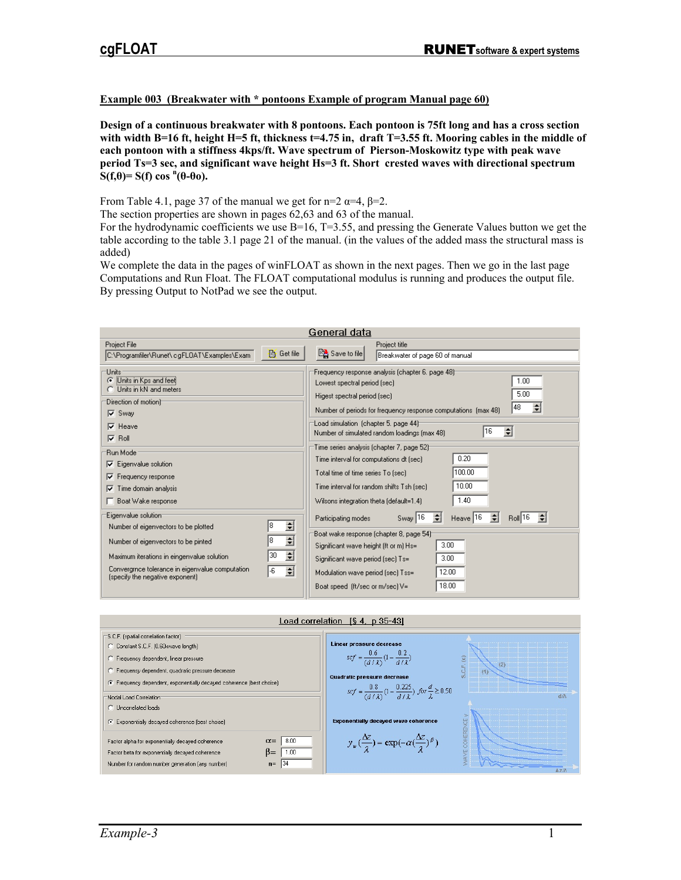## **Example 003 (Breakwater with \* pontoons Example of program Manual page 60)**

**Design of a continuous breakwater with 8 pontoons. Each pontoon is 75ft long and has a cross section with width B=16 ft, height H=5 ft, thickness t=4.75 in, draft T=3.55 ft. Mooring cables in the middle of each pontoon with a stiffness 4kps/ft. Wave spectrum of Pierson-Moskowitz type with peak wave period Ts=3 sec, and significant wave height Hs=3 ft. Short crested waves with directional spectrum**   $\mathbf{S}(\mathbf{f},\mathbf{\theta}) = \mathbf{S}(\mathbf{f}) \cos \mathbf{h}(\mathbf{\theta}-\mathbf{\theta}_0).$ 

From Table 4.1, page 37 of the manual we get for n=2  $\alpha$ =4,  $\beta$ =2.

The section properties are shown in pages 62,63 and 63 of the manual.

For the hydrodynamic coefficients we use  $B=16$ , T=3.55, and pressing the Generate Values button we get the table according to the table 3.1 page 21 of the manual. (in the values of the added mass the structural mass is added)

We complete the data in the pages of winFLOAT as shown in the next pages. Then we go in the last page Computations and Run Float. The FLOAT computational modulus is running and produces the output file. By pressing Output to NotPad we see the output.

| General data                                                                                   |                               |                                                                                                                   |  |  |
|------------------------------------------------------------------------------------------------|-------------------------------|-------------------------------------------------------------------------------------------------------------------|--|--|
| Project File<br>C:\Programfiler\Runet\                                  cqFLOAT\Examples\Exam- | <b>Ph</b> Get file            | Project title<br>Save to file<br>Breakwater of page 60 of manual                                                  |  |  |
| <b>Units</b>                                                                                   |                               | Frequency response analysis (chapter 6, page 48) <sup>-</sup>                                                     |  |  |
| Units in Kps and feet<br>G                                                                     |                               | 1.00<br>Lowest spectral period (sec)                                                                              |  |  |
| Units in kN and meters<br>Direction of motion) <sup>.</sup>                                    |                               | 5.00<br>Higest spectral period (sec)                                                                              |  |  |
| $\nabla$ Sway                                                                                  |                               | ÷<br>48<br>Number of periods for frequency response computations (max 48)                                         |  |  |
| $\nabla$ Heave                                                                                 |                               | Load simulation (chapter 5, page 44) <sup>-</sup><br>$\div$<br>16<br>Number of simulated random loadings (max 48) |  |  |
| $\nabla$ Roll                                                                                  |                               | Time series analysis (chapter 7, page 52) <del>.</del>                                                            |  |  |
| :Run Mode<br>$\nabla$ Eigenvalue solution                                                      |                               | 0.20<br>Time interval for computations dt [sec]                                                                   |  |  |
| Frequency response<br>⊽                                                                        |                               | 100.00<br>Total time of time series To [sec]                                                                      |  |  |
| Time domain analysis<br>⊽                                                                      |                               | 10.00<br>Time interval for random shifts Tsh [sec]                                                                |  |  |
| Boat Wake response                                                                             |                               | 1.40<br>Wilsons integration theta (default=1.4)                                                                   |  |  |
| Eigenvalue solution                                                                            |                               | Sway 16 $\Rightarrow$<br>$Heave$ 16<br>÷<br>Boll 16<br>≑∣<br>Participating modes                                  |  |  |
| Number of eigenvectors to be plotted                                                           | $\div$<br>8                   | Boat wake response (chapter 8, page 54) <sup>.</sup>                                                              |  |  |
| Number of eigenvectors to be pinted                                                            | $\overline{\phantom{a}}$<br>8 | 3.00<br>Significant wave height (ft or m) Hs=                                                                     |  |  |
| Maximum iterations in eingenvalue solution                                                     | $\div$<br>30                  | 3.00<br>Significant wave period [sec] Ts=                                                                         |  |  |
| Convergmce tolerance in eigenvalue computation<br>(specify the negative exponent)              | $\div$<br>-6                  | 12.00<br>Modulation wave period [sec] Tss=                                                                        |  |  |
|                                                                                                |                               | 18.00<br>Boat speed (ft/sec or m/sec) V=                                                                          |  |  |

Load correlation  $[§ 4, p 35-43]$ 

| S.C.F. (spatial correlation factor)<br>C Constant S.C.F. (0.60xwave length)<br>C Frequency dependent, linear pressure<br>C Frequensy dependent, quadratic pressure decrease<br>F Frequency dependent, exponentially decayed coherence (best choise)<br>Nodal Load Correlation               | Linear pressure decrease<br>$scf = \frac{0.6}{(d/\lambda)}(1 - \frac{0.2}{d/\lambda})$<br>Quadratic pressure decrease<br>$scf = \frac{0.8}{(d/\lambda)}(1 - \frac{0.225}{d/\lambda})$ for $\frac{d}{\lambda} \ge 0.50$ | Ξ<br>(2)<br>d.A |
|---------------------------------------------------------------------------------------------------------------------------------------------------------------------------------------------------------------------------------------------------------------------------------------------|------------------------------------------------------------------------------------------------------------------------------------------------------------------------------------------------------------------------|-----------------|
| C Uncorrelated loads<br>(C Exponentially decayed coherence (best choise)<br>8.00<br>$\alpha =$<br>Factor alpha for exponentially decayed coherence<br>$B =$<br>1.00<br>Factor beta for exponentially decayed coherence<br>Number for random number generation (any number)<br>-134<br>$n =$ | <b>Exponentially decayed wave coherence</b><br>$y_{\psi}(\frac{\Delta z}{2}) = \exp(-\alpha(\frac{\Delta z}{2})^{\beta})$                                                                                              | 赤之分             |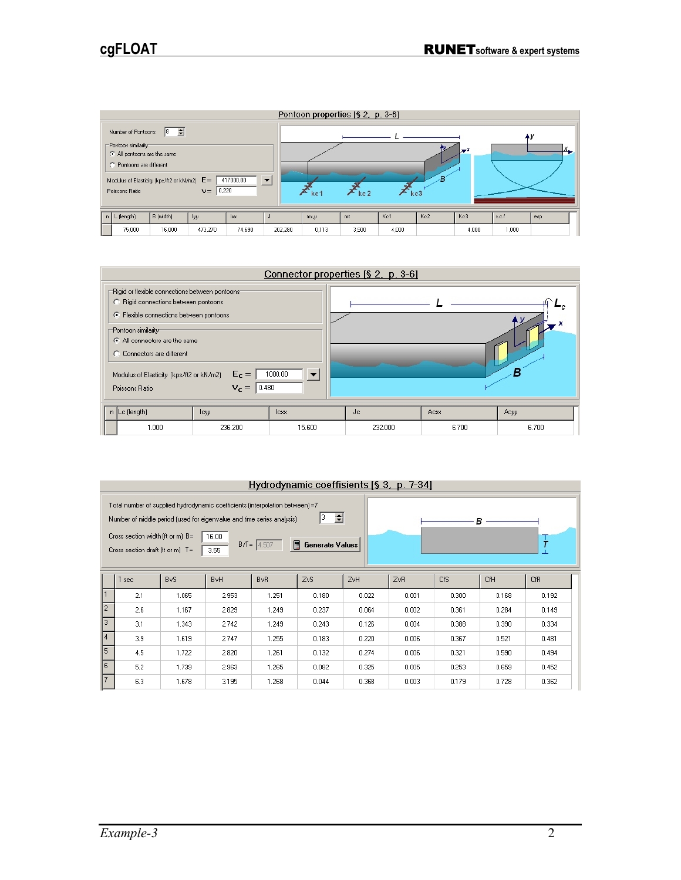

|   |                                                                                                                                                                                                                                                                                    |                               | Connector properties [§ 2, p. 3-6] |         |       |       |
|---|------------------------------------------------------------------------------------------------------------------------------------------------------------------------------------------------------------------------------------------------------------------------------------|-------------------------------|------------------------------------|---------|-------|-------|
| O | "Rigid or flexible connections between pontoons"<br>C Rigid connections between pontoons<br>← Flexible connections between pontoons<br>Pontoon similarity<br>All connectors are the same<br>Connectors are different<br>Modulus of Elasticity [kps/ft2 or kN/m2]<br>Poissons Ratio | $E_C =$<br> 0.480 <br>$V_r =$ | 1000.00                            |         |       |       |
|   | $n$ Lc (length)                                                                                                                                                                                                                                                                    | lcyy                          | lexx                               | Jc      | Acxx  | Acyy  |
|   | 1.000                                                                                                                                                                                                                                                                              | 236.200                       | 15,600                             | 232.000 | 6.700 | 6.700 |

| Hydrodynamic coeffisients [§ 3, p. 7-34]                                                                                                                                                                                                                                                                                       |     |                 |                        |       |                  |       |       |       |            |       |
|--------------------------------------------------------------------------------------------------------------------------------------------------------------------------------------------------------------------------------------------------------------------------------------------------------------------------------|-----|-----------------|------------------------|-------|------------------|-------|-------|-------|------------|-------|
| Total number of supplied hydrodynamic coefficients (interpolation between) =7<br>슬<br>3.<br>Number of middle period (used for eigenvalue and time series analysis)<br>в<br>Cross section width (ft or m) B=<br>16.00<br>Ť<br>$\blacksquare$<br>$B/I = 4.507$<br>Generate Values<br>Cross section draft (ft or m) $T =$<br>3.55 |     |                 |                        |       |                  |       |       |       |            |       |
|                                                                                                                                                                                                                                                                                                                                | sec | B <sub>vS</sub> | <b>B</b> <sub>vH</sub> | BvR.  | Z <sub>v</sub> S | ZvH   | ZvR   | CfS   | <b>CfH</b> | CfR   |
| $\mathbf{1}$                                                                                                                                                                                                                                                                                                                   | 2.1 | 1.065           | 2.953                  | 1.251 | 0.180            | 0.022 | 0.001 | 0.300 | 0.168      | 0.192 |
| $\overline{2}$                                                                                                                                                                                                                                                                                                                 | 2.6 | 1.167           | 2.829                  | 1.249 | 0.237            | 0.064 | 0.002 | 0.361 | 0.284      | 0.149 |
| 3                                                                                                                                                                                                                                                                                                                              | 3.1 | 1.343           | 2.742                  | 1.249 | 0.243            | 0.126 | 0.004 | 0.388 | 0.390      | 0.334 |
| $\overline{4}$                                                                                                                                                                                                                                                                                                                 | 3.9 | 1.619           | 2.747                  | 1.255 | 0.183            | 0.220 | 0.006 | 0.367 | 0.521      | 0.481 |
| 5                                                                                                                                                                                                                                                                                                                              | 4.5 | 1.722           | 2.820                  | 1.261 | 0.132            | 0.274 | 0.006 | 0.321 | 0.590      | 0.494 |
| 6                                                                                                                                                                                                                                                                                                                              | 5.2 | 1.739           | 2.963                  | 1.265 | 0.082            | 0.325 | 0.005 | 0.253 | 0.659      | 0.452 |
| $\overline{7}$                                                                                                                                                                                                                                                                                                                 | 6.3 | 1.678           | 3.195                  | 1.268 | 0.044            | 0.368 | 0.003 | 0.179 | 0.728      | 0.362 |

## *Example-3* 2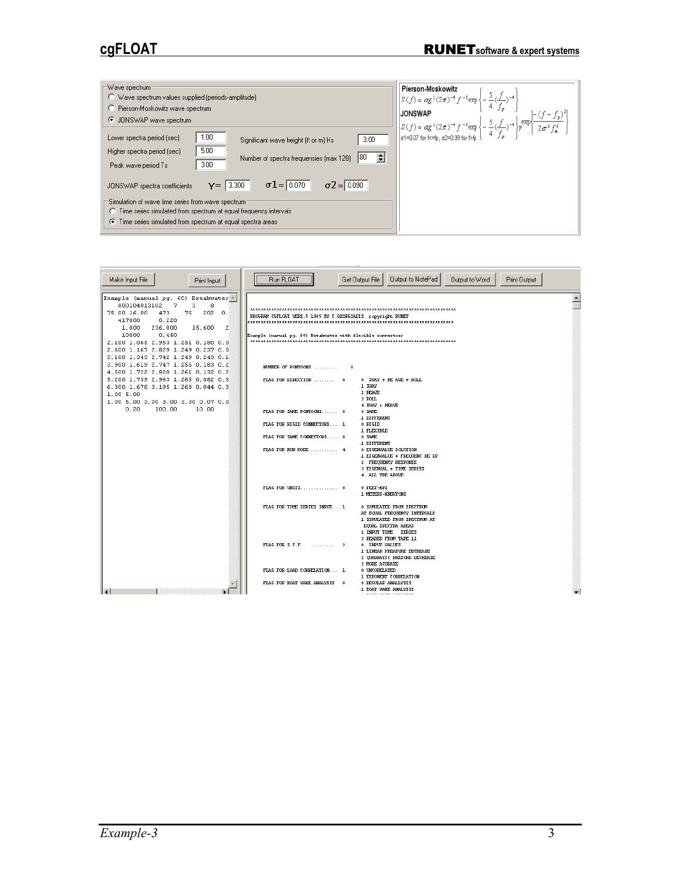| Wave spectrum:<br>Wave spectrum values supplied (periods-amplitude)<br>C Pierson-Moskowitz wave spectrum<br>○ JONSWAP wave spectrum                                                                                                                                                                                                                                                                                                                                                                                      | Pierson-Moskowitz<br>$\sqrt[3]{\mathcal{S}(f)} = \alpha g^2 (2\pi)^{-4} f^{-3} \exp \left\{-\frac{5}{4} (\frac{f}{f})^{-4}\right\}$<br>JONSWAP<br>$g(f) = \alpha g^2 (2\pi)^{-4} f^{-5} \exp \left\{-\frac{5}{4} \frac{(f}{f_p})^{-4}\right\} \exp \left\{-\frac{2\alpha^2 f}{2\sigma^2 f_s^2}\right\}$<br>$g(1) = 0.07$ for K=fp, $\sigma = 0.09$ for bfp |  |
|--------------------------------------------------------------------------------------------------------------------------------------------------------------------------------------------------------------------------------------------------------------------------------------------------------------------------------------------------------------------------------------------------------------------------------------------------------------------------------------------------------------------------|------------------------------------------------------------------------------------------------------------------------------------------------------------------------------------------------------------------------------------------------------------------------------------------------------------------------------------------------------------|--|
| 1.00<br>Lower spectra period (sec)<br>3.00<br>Significant wave height (ft or m) Hs<br>5.00<br>Higher spectra period (sec)<br>÷<br>180<br>Number of spectra frequensies [max 128]<br>3.00<br>Peak wave period Ts<br>$\sigma$ 2 = 0.090<br>$\sigma$ 1 = $\sqrt{0.070}$<br>3.300<br>Y= I<br>JONSWAP spectra coefficients<br>Simulation of wave time series from wave spectrum:<br><b>C</b> Time series simulated from spectrum at equal frequency intervals<br>◯ Time series simulated from spectrum at equal spectra areas |                                                                                                                                                                                                                                                                                                                                                            |  |

| Make Input File<br>Print Input                                                                                                                                                                                                                                                                    | Output to NotePad<br>Get Output File<br>Output to Word<br>Run FLOAT<br>Print Output                                                                                                             |  |
|---------------------------------------------------------------------------------------------------------------------------------------------------------------------------------------------------------------------------------------------------------------------------------------------------|-------------------------------------------------------------------------------------------------------------------------------------------------------------------------------------------------|--|
| Example (manual pg. 60) Breakwater<br>800104013102<br>7<br>з<br>8<br>75.00 16.00<br>473<br>75<br>202<br>0.<br>0.220<br>417000<br>1.000<br>236,000<br>15,600<br>2<br>10000<br>0.450<br>2.100 1.065 2.953 1.251 0.180 0.0<br>2.600 1.167 2.829 1.249 0.237 0.0<br>3.100 1.343 2.742 1.249 0.243 0.1 | PROGRAM CGFLOAT VERS.5 1985 BY C.GEORGIADIS copyright RUNET<br>Example (manual pq. 60) Breakwater with flexible connectors                                                                      |  |
| 3.900 1.619 2.747 1.255 0.183 0.2<br>4.500 1.722 2.820 1.261 0.132 0.2                                                                                                                                                                                                                            | NUMBER OF PONTOONS<br>- 8                                                                                                                                                                       |  |
| 5.200 1.739 2.963 1.265 0.082 0.3<br>6.300 1.678 3.195 1.268 0.044 0.3<br>1.005.00<br>1.00 5.00 3.00 3.00 3.30 0.07 0.0                                                                                                                                                                           | FLAG FOR DIRECTION  0<br>$0$ SWAY + HE AVE + ROLL<br>1 3532<br>2 HEAVE<br>3 ROLL<br>4 SWAY + HEAVE                                                                                              |  |
| 0.20<br>100.00<br>10.00                                                                                                                                                                                                                                                                           | FLAG FOR SAME PONTOONS 0<br>0 SAME<br>1 DIFFERENT                                                                                                                                               |  |
|                                                                                                                                                                                                                                                                                                   | FLAG FOR RIGID COMMECTORS 1<br>0 RIGID<br>1 FLEXIBLE                                                                                                                                            |  |
|                                                                                                                                                                                                                                                                                                   | FLAG FOR SAME CONNECTORS 0<br>0 SAME<br>1 DIFFERENT<br>FLAG FOR RUN MODE  4<br>0 EIGENVALUE SOLUTION                                                                                            |  |
|                                                                                                                                                                                                                                                                                                   | 1 EIGENVALUE + FREQUENC RE SP<br>2 FREQUENCY RESPONSE<br>3 EIGENVAL + TIME SERIES<br>4 ALL THE ABOVE                                                                                            |  |
|                                                                                                                                                                                                                                                                                                   | 0 FEET-KPS<br>1 METERS-KNEWTONS                                                                                                                                                                 |  |
|                                                                                                                                                                                                                                                                                                   | FLAG FOR THE SERIES INPUT 1<br>0 SIMULATED FROM SPECTRUM<br>AT EQUAL FREQUENCY INTERVALS<br>1 SIMULATED FROM SPECTRUM AT<br>EQUAL SPECTRA AREAS<br>2 INPUT TIME SERIES<br>3 READED FROM TAPE 11 |  |
|                                                                                                                                                                                                                                                                                                   | FLAG FOR $3.0.F.$ 3<br>0 INPUT VALUES<br>1 LINEAR PREASURE DECREASE<br>2 QUADRATIC PRESURE DECREASE<br>3 MORE AUURATE                                                                           |  |
|                                                                                                                                                                                                                                                                                                   | FLAG FOR LOAD CORRELATION 1<br>0 UNCORELATED<br>1 EXPONENT CORRELATION                                                                                                                          |  |
| $\overline{14}$                                                                                                                                                                                                                                                                                   | FLAG FOR BOAT WANE ANALYSIS 0<br>0 REGULAR ANALLYSIS<br>1 BOAT WAKE ANALYSIS<br>. <u>–  –  –    </u>                                                                                            |  |